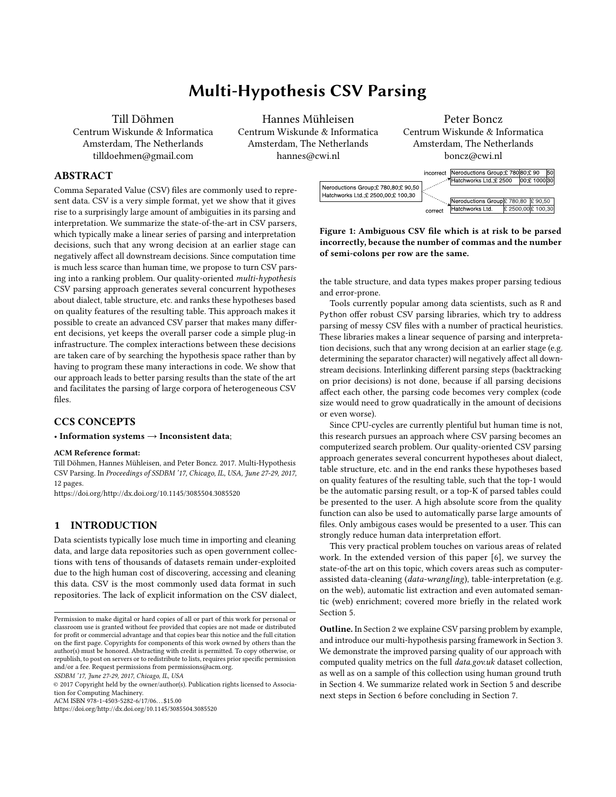# Multi-Hypothesis CSV Parsing

Till Döhmen Centrum Wiskunde & Informatica Amsterdam, The Netherlands tilldoehmen@gmail.com

Hannes Mühleisen Centrum Wiskunde & Informatica Amsterdam, The Netherlands hannes@cwi.nl

# Peter Boncz Centrum Wiskunde & Informatica Amsterdam, The Netherlands boncz@cwi.nl

### ABSTRACT

Comma Separated Value (CSV) files are commonly used to represent data. CSV is a very simple format, yet we show that it gives rise to a surprisingly large amount of ambiguities in its parsing and interpretation. We summarize the state-of-the-art in CSV parsers, which typically make a linear series of parsing and interpretation decisions, such that any wrong decision at an earlier stage can negatively affect all downstream decisions. Since computation time is much less scarce than human time, we propose to turn CSV parsing into a ranking problem. Our quality-oriented multi-hypothesis CSV parsing approach generates several concurrent hypotheses about dialect, table structure, etc. and ranks these hypotheses based on quality features of the resulting table. This approach makes it possible to create an advanced CSV parser that makes many different decisions, yet keeps the overall parser code a simple plug-in infrastructure. The complex interactions between these decisions are taken care of by searching the hypothesis space rather than by having to program these many interactions in code. We show that our approach leads to better parsing results than the state of the art and facilitates the parsing of large corpora of heterogeneous CSV files.

# CCS CONCEPTS

### • Information systems  $\rightarrow$  Inconsistent data;

#### ACM Reference format:

Till Döhmen, Hannes Mühleisen, and Peter Boncz. 2017. Multi-Hypothesis CSV Parsing. In Proceedings of SSDBM '17, Chicago, IL, USA, June 27-29, 2017, 12 pages.

<https://doi.org/http://dx.doi.org/10.1145/3085504.3085520>

# 1 INTRODUCTION

Data scientists typically lose much time in importing and cleaning data, and large data repositories such as open government collections with tens of thousands of datasets remain under-exploited due to the high human cost of discovering, accessing and cleaning this data. CSV is the most commonly used data format in such repositories. The lack of explicit information on the CSV dialect,

SSDBM '17, June 27-29, 2017, Chicago, IL, USA

ACM ISBN 978-1-4503-5282-6/17/06. . . \$15.00



Figure 1: Ambiguous CSV file which is at risk to be parsed incorrectly, because the number of commas and the number of semi-colons per row are the same.

the table structure, and data types makes proper parsing tedious and error-prone.

Tools currently popular among data scientists, such as R and Python offer robust CSV parsing libraries, which try to address parsing of messy CSV files with a number of practical heuristics. These libraries makes a linear sequence of parsing and interpretation decisions, such that any wrong decision at an earlier stage (e.g. determining the separator character) will negatively affect all downstream decisions. Interlinking different parsing steps (backtracking on prior decisions) is not done, because if all parsing decisions affect each other, the parsing code becomes very complex (code size would need to grow quadratically in the amount of decisions or even worse).

Since CPU-cycles are currently plentiful but human time is not, this research pursues an approach where CSV parsing becomes an computerized search problem. Our quality-oriented CSV parsing approach generates several concurrent hypotheses about dialect, table structure, etc. and in the end ranks these hypotheses based on quality features of the resulting table, such that the top-1 would be the automatic parsing result, or a top-K of parsed tables could be presented to the user. A high absolute score from the quality function can also be used to automatically parse large amounts of files. Only ambigous cases would be presented to a user. This can strongly reduce human data interpretation effort.

This very practical problem touches on various areas of related work. In the extended version of this paper [6], we survey the state-of-the art on this topic, which covers areas such as computerassisted data-cleaning (data-wrangling), table-interpretation (e.g. on the web), automatic list extraction and even automated semantic (web) enrichment; covered more briefly in the related work Section 5.

Outline. In Section 2 we explaine CSV parsing problem by example, and introduce our multi-hypothesis parsing framework in Section 3. We demonstrate the improved parsing quality of our approach with computed quality metrics on the full *data.gov.uk* dataset collection, as well as on a sample of this collection using human ground truth in Section 4. We summarize related work in Section 5 and describe next steps in Section 6 before concluding in Section 7.

Permission to make digital or hard copies of all or part of this work for personal or classroom use is granted without fee provided that copies are not made or distributed for profit or commercial advantage and that copies bear this notice and the full citation on the first page. Copyrights for components of this work owned by others than the author(s) must be honored. Abstracting with credit is permitted. To copy otherwise, or republish, to post on servers or to redistribute to lists, requires prior specific permission and/or a fee. Request permissions from permissions@acm.org.

<sup>©</sup> 2017 Copyright held by the owner/author(s). Publication rights licensed to Association for Computing Machinery.

<https://doi.org/http://dx.doi.org/10.1145/3085504.3085520>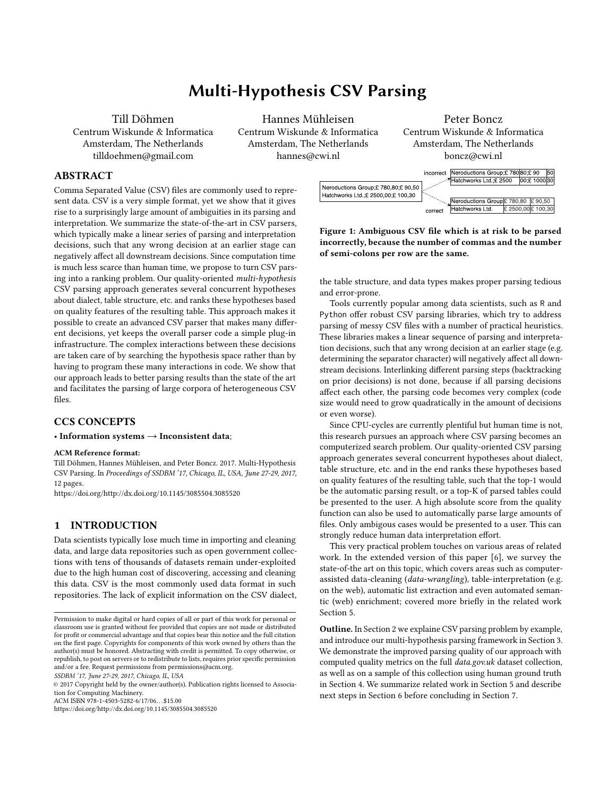# 2 COMMON CSV ISSUES

The UK Open Data portal, data.gov.uk, is one of the largest sources for Open Government data on the web. It contains roughly 36,000 data sets on environment, towns & cities, government, society, health, government spending, education, business & economy and transport. The most common data formats are HTML (12,392), geospatial formats (12,167), CSV (6,251), XLS (1,921), PDF (1,266), XML (839) and RDF (233) (Numbers from August 2016). CSV is the predominant tabular data format and expected to stay dominant, as departments and associated organizations are encouraged to publish data with at least Three Stars on the Five Star Deployment Scheme introduced by Tim Berners Lee [13], which only allows non-proprietary and easily accessible data formats such as CSV. According to RFC 4180 [20] a CSV file is supposed to contain commaseparated fields, one optional header row and succeeding data rows of the same length which are optionally quoted by double quotes. Fields which contain line breaks, delimiters or quotes have to be escaped by double quotes.

For data analysis and integration purposes it is desired to automatically extract relational tables from CSV files. Ideally, the resulting tables should only contain relational data, should have named and specifically typed columns, and should be "tidy" which means that every row contains one observation and every column one specific variable [24]. A random sample of 80 CSV files from the Open Government data hub *data.gov.uk* shows that a considerable amount of files is not in line with these requirements and that current CSV parsers are not sufficiently capable of automatically extracting relational tabular data from these CSV files. We will describe and categorize the most frequently encountered issues in the following:

CSV Syntax Issues. Although RFC 4180 [20] is not an official standard, it can be considered as the main reference for CSV writer and parser implementations. While a later specification of RFC 4180 [21] states that CSV files should be UTF-8 encoded, in practice CSV exists in all character encodings and meta-data on that is not part of the format. The encoding thus has to be inferred from the input file itself, which is subject to uncertainties. Figure 2b shows a table on which the encoding detection failed and the  $\pounds$  sign was falsely interpreted as the Polish letter Ł. 31 of 80 sampled CSVs were not UTF-8 encoded. Encoding issues are particularly critical when they affect delimiters, line endings or quotes. RFC 4180 prescribes that a CSV file should use comma separators, CRLF line endings and double quotes [20]. Other variants of the original dialect are commonly used, however. Those dialects use different delimiters, such as semicolons or tabs, different quotes, such as single quotes or other typographic variants, or different line endings. Meta-data on which dialect is used is not part of the CSV format, so this also has to be inferred from the input file, which can lead to ambiguous interpretations. Figure 1 shows a typical example where commas and semi-colons could both be considered as legitimate cell delimiters.

According to RFC 4180, each row is supposed to contain the same amount of fields which is in practice not always the case. The last row of the table in Figure 2c is a "ragged" row because it contains only one field. While strict parsers fail reading such files, robust parsers fill up the remaining space with empty fields. If a cell or a delimiter between two fields is missing, however, this leads to a wrong interpretation of the table.

To assess the syntactic quality of the 80 sampled CSV files we used the strict native CSV parser implementation of the statistical programming environment R [17], the robust CSV parsing package readr [25] and the Python library messytables<sup>1</sup> which features automatic dialect detection. The strict CSV parser failed in 24/80 cases, while the robust parser readr failed only in 1/80 cases. messytables also succeeded in the one case in which the CSV was tab-separated and hence achieved a success rate of 100% . We therefore suspect that a considerable amount of files on the *data.gov.uk* repository have syntax issues or use different CSV dialects. Stateof-the-art CSV parsers do appear to be capable of dealing with syntax issues and different dialects at least to such an extent that the parsing process does not fail.

CSVLint<sup>2</sup> is a tool which checks the compliance of CSV files with the RFC 4180 beyond the mere syntax. It checks whether, e.g., the first row contains a header and if the columns contain consistent values. A regular table, written according to RFC 4180, should usually not produce any CSVLint issues. To check the quality of parsing results from readr and messytables, we wrote the parsing results back into a RFC 4180 format and checked them with CSVLint. For 31 out of 79 parsing results from the readr package, still CSVLint issues were observed. The messytable library appeared to produce better parsing results of which only 20 were still affected by issues. These results suggest that a considerable amount of files have not been parsed properly and presumably have issues which were disregarded during the parsing process. These issues will be discussed in the following paragraphs. Table 1 summarizes the results.

| Parser             | <b>Success Rate</b>          |    |  |  |
|--------------------|------------------------------|----|--|--|
| R native           | 56/80                        |    |  |  |
| R readr            | 79/80                        |    |  |  |
| Python messytables | 80/80                        |    |  |  |
| Parser             | Files with CSVLint Issues    |    |  |  |
|                    | before parsing after parsing |    |  |  |
| R readr            | 56                           | 31 |  |  |
| Python messytables | 56                           | 20 |  |  |
|                    |                              |    |  |  |

Table 1: CSV parsing success and CSVLint issues

CSV File-level Issues. We observed that especially meta-data, such as titles, comments and footnotes, occurs very commonly in CSV files. 22 out of 80 sampled files contained some sort of metadata (see Figure 2c). State-of-the-art parsers feature header line detection which skips meta-data rows at the beginning of the table but do not remove meta-data at the end or on the sides of the table. The table in Figure 2c contains a row which only consists of line-art that is supposed to improve the human readability. Such elements do not contain useful information and obstruct the data type detection. Current CSV parsers do not account for that. Due to CSV exports from spreadsheets, CSV files often contain empty rows or columns which surround the actual table. 18 files of our sample

 $^{\rm 1}$ https://github.com/okfn/messytables

<sup>2</sup><http://csvlint.io/>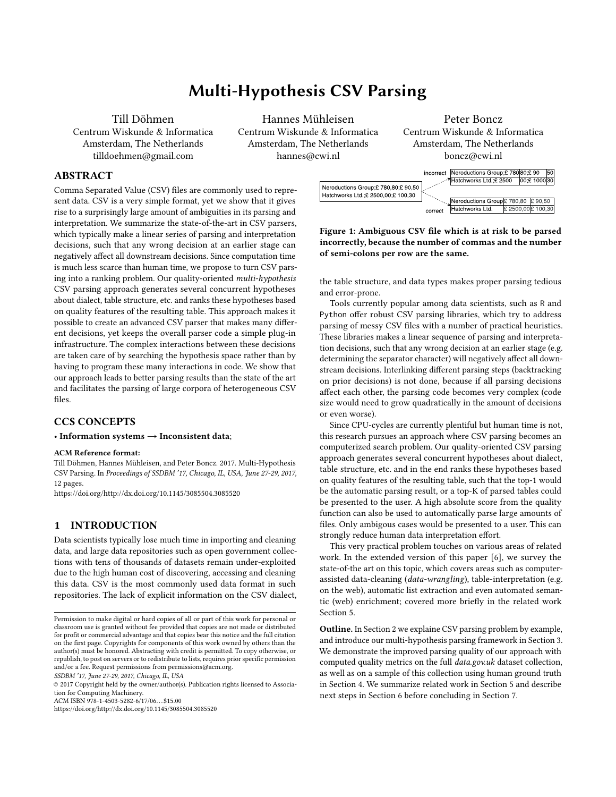(a) DFID non-executive directors: business expenses, gifts, travel and meetings, 2011 December Return

(b) Purchase orders over ¿10,000 from Ordnance Survey, 2013 August ber Return return (c) The Natural History Museum expenditure over ¿500, 2011 Decem-

(d) Spend over ¿25,000 in NHS Wiltshire, 2011 October Return (e) DFID HQ buildings water and energy use

Figure 2: Tables from data.gov.uk illustrating a multitude of issues

contained entirely empty columns or rows. These rows/column do not contain useful information and should not be considered as part of the relational data. Howevenessytables, for example, les which containedmultiple tables . One example is shown in Figure 2a. Regular CSV parsers do not account for multiple tables in one CSV le, which leads to problems with determining header rows and column data types.

Table-level Issues. CSV is under-dened in the sense that the presence of aheader row is optional and not explicitly known.

does not remove such rows and columns. We also encountered CSV RFC 4180 also prescribes that a CSV table should contain exactly Consequently the header row has to be inferred from the le content. Current CSV parsers use heuristics to detect the presence/nonpresence of column headers which are subject to uncertainties. The one header row. Current CSV parsers build on that assumption but our sample contained at least 4 tables withultiple header rows (see Figure 2a). Ignoring multiple header rows either impedes column-wise data type detection or leads to omitted header information. The same holds for the able orientation . Usual parsers assume a vertical table orientation and detect headers and column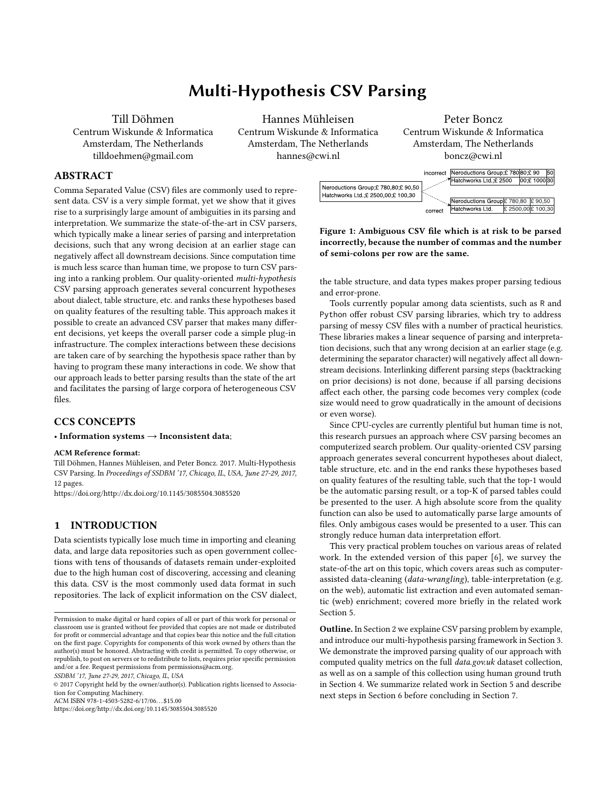data types based on this assumption. Another issugitise or narrow data Figure 2e contain wide data which means that the same variable is spread over multiple columns and that the header contains observation values, not variable names. This not data arrangement hampers data analysis and integration. Two tables in the sample contained wide data. Narrow data refers to a data arrangement where di erent variables are stores in one column. If the two variables are of a di erent data type, this hampers the data type detection. 13 les of the sample contained columns, rows or cells which areaggregatesof other cells in the table. Those columns/rows/cells contain redundant information which can be easily reproduced. In addition, summary cells disturb the rectangular shape of the table as shown in Figure 2b.

Column/Cell-level Issues. CSV does not support panning cells. When tables with spanning cells are exported from spreadsheets, only the rst cell gets lled with values and the succeeding elds are left empty (see Figure 2d). For further data processing it would make sense to infer the original extent of the spanning cell and to duplicate the respective value to this extent. Another issue is that cells often containleading or trailing whitespace, either by mistake or to visually align the cell content. The whitespace impedes data type detection, is most likely not intended and should be removed as well. Numerous les in the sample also contained numerics with units . Regular CSV parsers do not identify those values as numerics but as strings. This hampers possibilities for subsequent data analysis and requires additional manual preparation steps. There is also standard data type encoding for CSV. Depending on the used CSV writer implementation or the system's locale, the data type formatting can di er. For the data consumer neither the data type not the format is known and has to be inferred from the data itself. Especially dates (dd-mm-yyyy vs. mm-dd-yyyy) and numerics (European vs. American thousand and decimal separators) can be ambiguously interpreted. When data was entered manually it can even breconsistently formatted. the entire column is consistently formatted which makes the data type parsing fail on inconsistently formatted columnistissing values, i.e. NA values, are often times denoted by special characters such as -, by expressions like NA, NaN, or by special numerics like -999 or -1. It can be challenging to distinguish them from valid cell content. CSV parsers usually have a xed or con gurable set of expressions which will be interpreted as NA values. If NA values are not properly detected, they can interfere with the data type detection. On the other hand, valid cell content should not be accidentally discarded by being classi ed as missing values.

Summary. We showed that a host of issues stand between a CSV le and a propertidy relational table, and that current CSV parsers do not su ciently address those issues. The issues touch di erent problem areas, reaching from solving ambiguities in broken or non-standard CSV syntax to table interpretation and normalization tasks and robust data type parsing. Robust CSV parsers tackle syntax issues and data type parsing to a certain extent, but miss the nodes are the currently active ones.table interpretation/normalization aspect. Related work on table interpretation and normalization is largely focused on other input formats such as spreadsheets and HTML because they provide a

larger set of hints for table interpretation tasks than CSV, such as dierent font types, cell formulas and spanning (see Section 5). One solution which aims at normalization of table structures in CSV is the applicationDeExcelerator [7], which does on the other hand not tackle CSV syntax issues. An existing solution which aims at integrating these dierent aspects does to our knowledge not exist. and this is what we set out to create.

# 3 MULTI-HYPOTHESIS PARSING

Regular CSV parsers, if they detect data types, usually assume that is created, of which at least one leaf node is expected to lead to a The parsing process of regular CSV parsers consists of a linear chain of detection and parsing steps reaching from encoding, dialect and header detection to determination of column-speci c data types. Since certain properties of the input data format, such as the dialect, are not explicitly known, they have to be inferred from the data itself which is subject to uncertainties. However, linear CSV parsers do only pursue one single hypothesis about the le format and the correct way of parsing it. This is computationally e cient and may lead to correct parsing results but if one of the assumptions made is not correct, the parsing process is likely to lead to a wrong interpretation of the input or fails completely. As we have shown in the previous section, current CSV parsers lack important table normalization steps which prevents proper header and data type detection. Adding those additional steps, which also involve uncertainties, to a linear process chain would only increase the likelihood that the parsing result contains a false interpretation of the input. We propose to regard the problem from a more holistic point of view and provide a solution which makes it possible to integrate di erent solutions for speci c sub-problems and on the other hand creates synergies from considering them together. The proposedmulti-hypothesisparsing approach circumvents the problem of uncertainties in linear CSV parsing by allowing each parsing step to pursue multiple parsing hypotheses and passing all possible outcomes of the dierent hypotheses on to the next parsing step. In that way, a tree of parsing hypotheses and intermediate results correct interpretation of the input. This, as we will show, can be determined based on di erent data quality features.



Figure 3: Three di erent stages of the growing hypothesis tree while it is being traversed with breadth-rst search . Red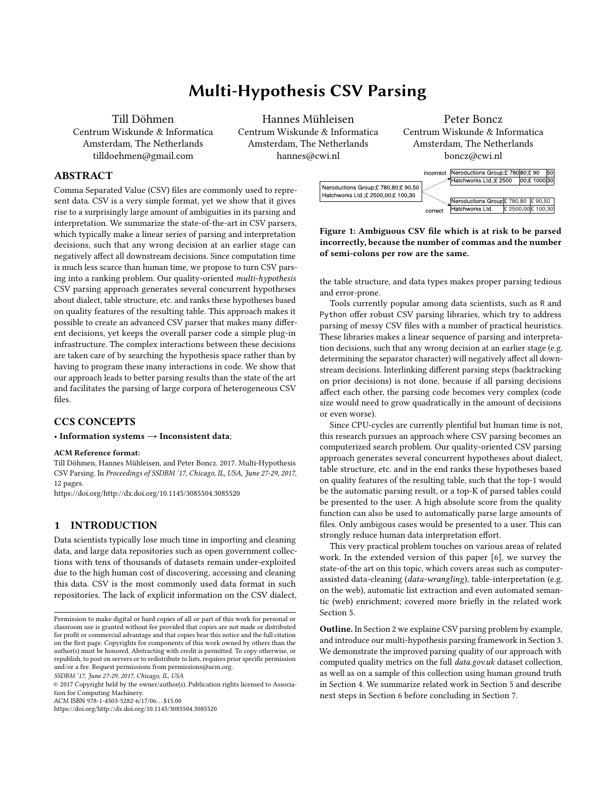# 3.1 Framework

The core of the multi-hypothesis parser is a tree data structure in which each level represents a parsing step, each node an in- hypoparsr, which is available from the ComprehensireArchive termediate result and each branch a parsing hypothesis. The root Network (CRAN<sup>§</sup>. This section will describe the implemented node is typically an input le and the successive steps are intended parsing steps (see Figure 4). to gradually process the input towards the desired output. It is not prescribed which parsing steps are being implemented as long as they implement two methods: Each parsing step has to implement adetect() -method which creates hypotheses and respective con dence values and parse() -method which processes the input according to one of the previously generated hypotheses and returns a new intermediate result. Intermediate results can be regarded as a contract between two succeeding parsing steps. An orientation detection step, e.g., promises the next step that the returned intermediate is a vertically oriented table. The succeeding parsing step can therefore focus on its speci c sub-task based on a xed assumption about the input. The previous parsing steps do, of course, not always actually deliver the intermediate result in the promised shape but because the previous steps considered all possible permutations of parsing hypotheses one can expect that at least one of the intermediate results is actually in the promised shape. The second assumption is that the path in the hypothesis tree in which all contracts are ful lled also ultimately leads to better parsing results, which can be identi ed based on quality features.

The hypothesis tree is built on-the-y while it is being traversed (see Figure 3 and Algorithm 1). Therefore, the tree traversal has to tion summarizes the detection of row and column functions. be either performed imre-orderor with breadth-rst search.

| Algorithm 1 Hypothesis Tree Traversal                  |
|--------------------------------------------------------|
| 1: function generateparsing tree(path)                 |
| create_root_node (path)<br>tree<br>2:                  |
| hypo parsing step 1: detec (path)<br>3:                |
| treeadd new node (for each hypo)<br>4:                 |
| while not all nodes evaluated, traversureedo<br>5:     |
| if nodeconf < prune level then continue<br>6:          |
| nodeparentlevel + 1<br>level<br>7:                     |
| parent nodeparentinter<br>8:                           |
| hypo nodehypo<br>9:                                    |
| inter parsing_step\$level]:parseparenthypo)<br>10:     |
| if inter is null then continue<br>11:                  |
| nodeadd_node(inter)<br>12:                             |
| if level is length (parsing_steps then continue<br>13: |
| parsing_step\$level + 1]:detec(inter)<br>hypo<br>14:   |
| nodeadd new node (for each hypo)<br>15:                |
| 16: end while                                          |
| 17: return tree                                        |
| 18: end function                                       |
|                                                        |

The prune-level (see line 6 in Algorithm 1) is an optional parameter which can be set to lter our hypotheses with a very low con dence. In that way the user can control the amount of created hypotheses per step, regardless of the concrete implementation of the detection steps.

# 3.2 Parsing Steps

We have created & package for multi-hypothesis CSV parsing,

Figure 4: Parsing steps of hypoparsr. Table structure detec-

These parsing steps aim at covering the most frequently occurring issues in CSV les, such as unknown le encodings, different dialects, (multiple) header rows, contained meta-data and non-standardized and inconsistent data types. The proposed detection steps use heuristics to determine a set of reasonable hypotheses and respective con dence values. Additionally, one default hypothesis always is created, which assumes that the input is conforming to RFC 4180, to assure that this possibility is never disregarded. The generated hypotheses are as explicit as possible and the parsing steps as strict as possible, in order to rule out wrong hypotheses at an early stage and conrm hypotheses most precisely. Each detection and parsing step has access to a utility function which determines the type of cell content, such as empty, numeric, date, and time, based on regular expressions. More details on the implementation are provided in 6, but we will describe the implemented parsing steps in the following:

Forencoding detectione used theguess\_encoding() function of thereadr [25] package. This function provides a set of potential character encodings along with respective condence values. The parsing step reads the le with the respective encoding and returns a text as intermediate result.

In the dialect detection tep all combinations of 10 di erent delimiters, 15 di erent quotes in including typographic variances, 3 di erent line endings and two di erent escaping styles are checked for plausibility. The plausibility check is very simple in order to allow also unlikely interpretations to be considered for further steps. If a delimiter occurs at least once in the le it will be considered as a candidate. Quoting signs are considered as candidates if they occur

<sup>3</sup>https://cran.r-project.org/web/packages/hypoparsr/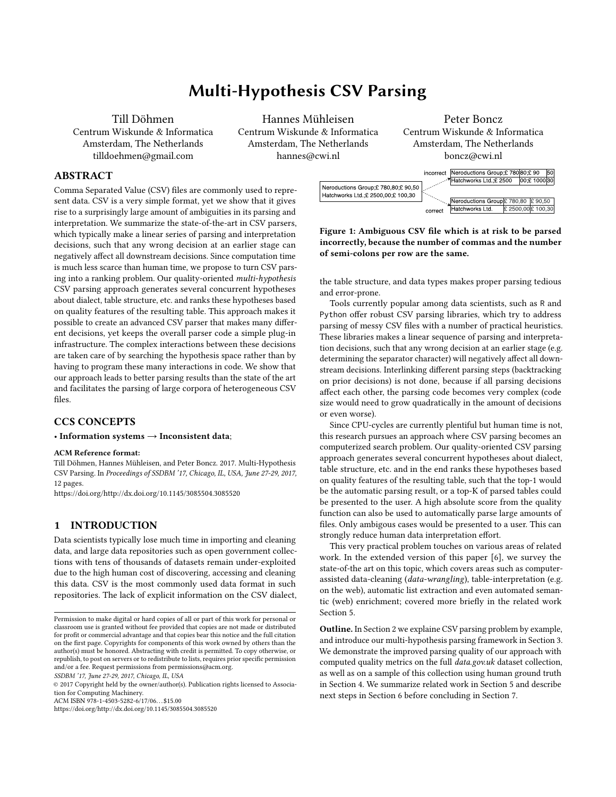at least once directly before or after a delimiter. In the parsing step the robust CSV parsing libraryeadr [25] is used to parse the le. If the library encounters parsing issues it either fails, which leads to a dead branch in the parsing tree, or it emits a warning, which gets logged and taken into account by the nal quality assessment.

In the table area detecticated the outer boundaries of the actual table are determined. All empty columns left/right and empty rows above/below the table are removed in this parsing step. For future work we plan to extend this step towards detection of multiple tables. The table orientation step was inspired by the work of Pivk et al. [16]. The orientation is determined based on the column/rowwise consistency of data types. If the columns are more consistent than the rows, then a horizontal orientation hypothesis is created. A vertical orientation hypothesis gets always created by default. In the parsing step, the table either gets transposed or not.

Figure 5: Exemplary Multi-Hypothesis parsing process using the proposed parsing steps.

The table structure detectiontep consists of row- and columnfunction detection. Row function detection is inspired by the work of Adel o and Samet [1], which aims at classi cation of rows into dierent functional categories such as titles, headers and data. The approach of  $\parallel$  is based on conditional random elds and requires a considerable amount of manually annotated training data. As this data was not available to us, we created a simpler heuristic solution which performs a similar classi cation and is able to produce a set of maximum 8 dierent hypotheses about header row location etc. In the parsing step, multiple header rows are aggregated to one, empty rows are removed and meta-data is removed from the table and saved separately.

The column function detection step uses heuristics to detect columns with spanning cells, columns with meta-data and empty columns and creates a maximum of 3 dierent hypotheses about their location. In the parsing step, spanning columns are expanded to their assumed original extension, empty columns are removed and meta-data is removed and saved separately.

The data type detectiostep is the last parsing step, which allows to locally optimize the parsing result. In the detection step we determine the column data types and potential data type formats,

i.e. numeric separators and date formats, based on regular expressions. We support detection of numerics with di erent decimal and thousand separator styles and attached units, detection of dates in various formats, detection of times and logicals. In the parsing step we iteratively try to parse the column content according to the generated format hypotheses until all values were successfully parsed. If not all cells can be successfully, the column is per default considered as string column.

Figure 5 shows an exemplary hypothesis tree based on the proposed parsing steps. Theoretically, 30 di erent hypotheses on encoding could be created, 450 di erent hypotheses one dialect, one on the table area, 8 di erent row function hypotheses, 3 column function hypotheses and one data type hypothesis. This leads to a theoretical maximum of 324,000 parsing hypotheses:

# $30 \t450 \t1 \t8 \t3 \t1 = 324000$

In the hypopars implementation we dened a default pruning-level of 0.1, which means that parsing hypotheses with a con dence lower than 10% are disregarded. Because the con dence values of each detection step always add up to 100%, this means that the number of created hypotheses per step is in worst case 10. In that way the number of maximum possible parsing hypotheses can be limited to 2,400:

#### 10 10 1 8 3 1 =  $2,400$

However, in practice we observed far lower numbers of hypotheses. We evaluated the number of created hypotheses on a set of 14,844 les from the data.gov.ukcorpus. Table 2 shows that in median only 8 and in mean 13.4 di erent parsing hypotheses reached the last level of the hypothesis tree. Only in rare cases, the number of intermediates grew much larger. This was especially the case when the input contained multiple tables. In only 22 out of 14,844 cases more than 10 dialect hypotheses were created.

| Variant | No. Hypotheses in Last Level |     |   |      |  |  |
|---------|------------------------------|-----|---|------|--|--|
|         | Min Max Median Mean          |     |   |      |  |  |
| Hypo    | $\mathcal{P}$                | 188 | я | 13.4 |  |  |

Table 2: Hypotheses created on data.gov.uk corpus.

# 3.3 Hypothesis Ranking

We propose a ranking approach which allows the user to not only retrieve the best hypothesis but optionally also a ranked set of parsing results. The key question for the ranking is which measurable criteria are suitable to capture the quality of the parsing result. A starting point for these considerations was the ISO/IEC 25012 Data Quality Model [11] and complementary work by Ra que et al.18. Out of the 15 quality characteristics of the standard model, we considered accuracy/correctness, completeness, consistency, precision, and understandability as characteristics which should be distinctive for a good parsing result. Additionally, we considered representational adequacy, as introduced by §, as a desirable strength of the parsing result. The characteristics credibility, currentness/timeliness, accessibility, compliance, con dentiality, e ciency/speed, traceability, availability, portability, and recoverability were not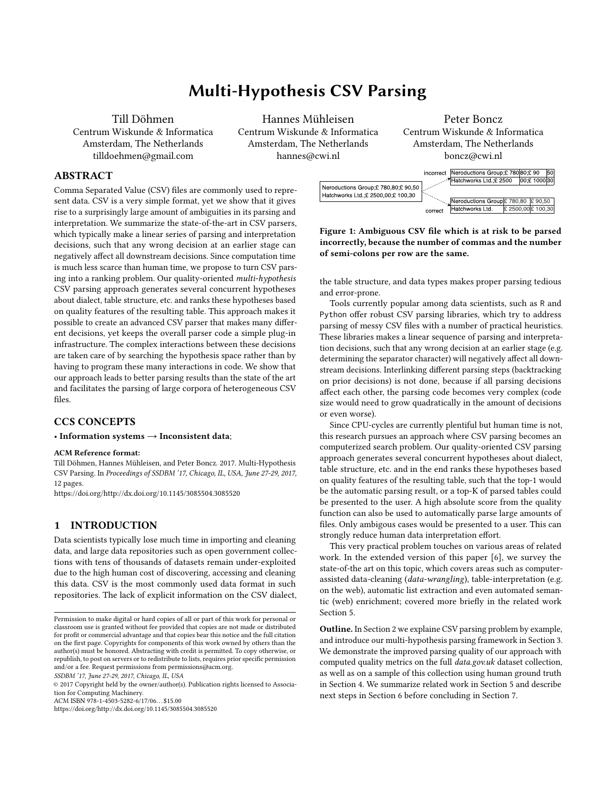parsing process. We now provide an overview of how the di erent quality characteristics are dened and which respective measurements we propose:

Accuracy/Correctness. The degree to which data has attributes that correctly represent the true value of the intended attribute of a concept or event in a speci c context of use [1]. Because we do not know the original intent of the data, we can only assume that the original content is the intended content. The encoding and dialect steps should preferably not produce any warnings. The number of edits and moves of cells content should be as low as possible. Furthermore, we can assume that the con dence of each parsing step is a signal for the correctness of the parsing result. Results with a high underlying con dence should be preferred over results with low con dence.

Completeness. The degree to which subject data associated with an entity has values for all expected attributes and related entity instances in a speci c context or use11. We cannot know if the given data is really complete, we can again only assume that the provided data is as complete as possible. To ensure that as much as possible data from the original input is preserved, tables with higher number of total cells should be preferred.

Consistency. The degree to which data has attributes that are free from contradiction and are coherent with other data in a speci c context of use [11]. Although we cannot measure the external consistency with other sources, we can measure the internal consistency. The consistency of values within columns can be determined based on the speci cness of the data type. Tables with a high number of typed cells (other than text) should be preferred.

Precision. The degree to which data has attributes that are exact or that provide discrimination in a speci c context of use1[1]. The precision of values can not be higher than provided in the original le. However, the more specically a column is typed, the closer it potentially is to the intended precision. In terms of precision, tables with a high number of speci cally typed cells should be preferred.

Understandability. The degree to which data has attributes that in appropriate languages, symbols and units in a speci c context of use [11]. The understandability of a table depends strongly on whether column headers are given or not. Tables with a low amount of empty headers should thus be preferred. Since we often observed encoding issues, which also reduce the understandability of the table content, tables with more characters in the latin character set should be preferred. Naturally, this only applies to tables from western origin.

Representational Adequacy. The extent to which data or information is represented in a concise, exible and organized way with due relevancy to the users' goals to help user to achieve their speci ed goals [18]. The conciseness of the table gets improved if unnecessary columns or rows are not contained in the table. Tables with a low amount of empty cells should thus be preferred. Furthermore, vertically oriented tables are easier to read for the user and

considered as distinctive because they are not under control of the more rows than columns, tables with a higher row-column ration should preferred.

> Table 3 summarizes the proposed mapping of quality metrics to quality characteristics.

| Data Quality Characteristics    | <b>Quality Metrics</b> |  |
|---------------------------------|------------------------|--|
| Accuracy/Correctness            | Parser Warnings,       |  |
|                                 | Edits.                 |  |
|                                 | Moves.                 |  |
|                                 | Con dence              |  |
| Completeness                    | <b>Total Cells</b>     |  |
| Consistency                     | <b>Typed Cells</b>     |  |
| <b>Typed Cells</b><br>Precision |                        |  |
| Understandability               | Empty Header,          |  |
|                                 | Non-Latin Characters   |  |
| Representational Adequacy       | Empty Cells,           |  |
|                                 | Row/Column Ratio       |  |

Table 3: Data quality characteristics mapped to quality metrics.

enable it to be read and interpreted by users, and are expressed parsing result were used as features and the rank as target value. We used a Ranking SVM algorithm  $\overline{p}$  with a linear kernel function to determine a ranking model using the previously described quality criteria as features. Ranking SVM's are, e.g., used to rank query results in search engines and are well suited for the problem because they aim at creating a ranking with a minimum number of swapped pairs compared to the optimal ranking. This has the bene t over simple linear regression, that deviations from the model are only then penalized if they lead to a change in the ranking. We chose a linear kernel function, because the resulting model parameters are easily interpretable and can be manually checked for plausibility. The training dataset for the Ranking SVM was gathered as follows: the multi-hypothesis parser was used to create di erent parsing hypotheses for 64 randomly sampled tables from data.gov.ukWe also cleaned the same tables manually and compared the result of each parsing hypothesis to the manually cleaned tables by using a string-based distance measure which is described in Section 4.1. The normalized quality features of each The feature values were scaled to a range between 0 and 1 among all permutations of the same input table. Figure 6 illustrates the training data generation process.

> We used Monte Carlo cross validation in the 10 di erent randomly sampled training and test sets with a size ratio of 3/1 to tune the c parameter (0.01). The Ranking SVM ultimately lead to the feature weights shown in Table 4.

> The table shows that the signs of the weights were generally in line with our expectations. Warnings, edits, moves, empty header, empty cells and non-Latin characters get penalized and con dence, total cells, typed cells and a high row/column ratio get rewarded. Moves and warnings appear to have the highest negative impact on the ranking and empty header and non-Latin characters the lowest. The number of typed cells appears to be the most distinctive positive feature.

thus better organized. Since vertically oriented tables tend to have is only marginally better than with equally weighted features. TheHowever, Figure 7 shows that the success of the trained method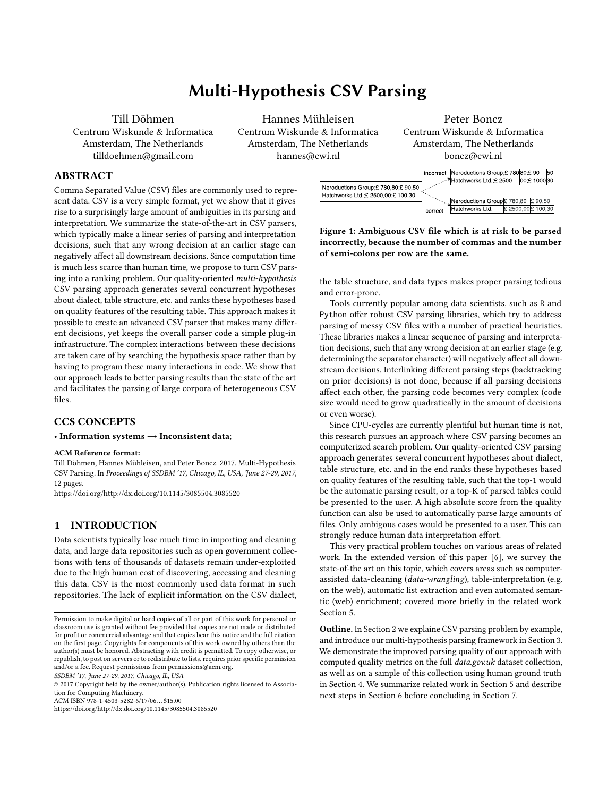Figure 7: Comparison of di erent ranking methods.

created a pipeline which rst parses the CSV les with messytables to solve CSV syntax issues and subsequently use Excelerator to normalize the contained table structures and to determine data types.

| Parser        | <b>Automatic Detection</b> |         |                   |           |        |                 |                |              |
|---------------|----------------------------|---------|-------------------|-----------|--------|-----------------|----------------|--------------|
|               | Encoding                   | Dialect | <b>Table Area</b> | meta-data | Header | Header<br>Mult. | ತಿ<br>Spanning | Forma<br>аtа |
| Rbase         |                            |         |                   |           |        |                 |                |              |
| messytables   | x                          | x       |                   |           | x      |                 |                | х            |
| DeExcelerator |                            |         | x                 | x         | x      | x               | x              | x            |
| hypoparsr     | x                          | x       | x                 | x         | x      | x               | x              | x            |

Table 5: Feature comparison of the evaluated parsers.

Figure 6: Schematic diagram of the training data generation process.

 $\overline{Q}$ uality Metric Weighting Weighting

| Quality Metric      | vveignung |         |  |
|---------------------|-----------|---------|--|
|                     | Equally   | Trained |  |
| Warnings            | -1        | $-2.38$ |  |
| Edits               | -1        | $-1.50$ |  |
| Moves               | -1        | $-4.11$ |  |
| Con dence           | 1         | 1.57    |  |
| <b>Total Cells</b>  | 1         | 1.42    |  |
| <b>Typed Cells</b>  | 1         | 3.20    |  |
| <b>Empty Header</b> | -1        | $-0.52$ |  |
| <b>Empty Cells</b>  | -1        | $-1.04$ |  |
| Non Latin Chars     | -1        | $-0.56$ |  |
| Row/Column Ratio    |           | 0.93    |  |

Table 4: Quality metrics, equally weighted and weights determined by the Ranking SVM.

trained ranking method outperforms the untrained method by only 3% in terms of correctly highest ranked results. In 77% and 80% of Evaluating the correctness of parsing results is challenging because all cases, respectively, the best parsing result is ranked highest. And can be found among the three highest ranked results. The naïve method, which follows the path of highest con dence, is only about 1/3 better than the random baseline. This supports our hypothesis that parsing decisions, only based on high local con dence, do not lead to good overall parsing results.

Because the ranking with equal weights leads to good ranking decisions and the trained ranking only performs slightly better, we ultimately decided to use equal weights in the poparsr implementation by default. This also prevents a bias from the training data on the evaluation results (over tting).

# 4 EVALUATION

We evaluated the hypoparsr against a strict RFC 4180-conform CSV parser as implemented in the R base library [and the stateof-the-art CSV parsemessytables which was especially designed to read messy CSV data. Furthermore, we included the application DeExcelerator [7] in the evaluation, which aims at normalizing table structures in tabular data. Becausessytables and DeExcelerator have complementary features (see Tables 5), we <sup>4</sup>https://github.com/tdoehmen/hypoparsr/tree/master/tests/data/cleaned

# 4.1 Ground Truth

in 86% and 91% of all cases, respectively, the best parsing result parsing evaluation exist. We therefore rst established a ground to our knowledge no common test sets or ground truths for CSV truth by manually cleaning a random sample of 64 CSV les from the open government data portalata.gov.ukThe tables were read with a robust and manually con gured CSV parser. Subsequently, header rows were manually identi ed, meta-data was removed, spanning cells were expanded, and NA (Not Available) markers identi ed and replaced with empty strings. If tables were not horizontally oriented they were transposed and if narrow or wide data was identi ed the tables were reshaped accordingly. Column data types for dates, times, logicals and numerics were identi ed and the column content was converted accordingly. If units were attached to numeric values, the unit was removed from the data cells and moved to the header row. The created ground truth is available online<sup>4</sup>.

> In order to fuzzy-match two tables and to automatically assess the deviation between two tables, we established a string-based table distance measure. To determine the distance between two tables, each table is converted into a (long) string-representation. The table is converted by appending all cells column-wise and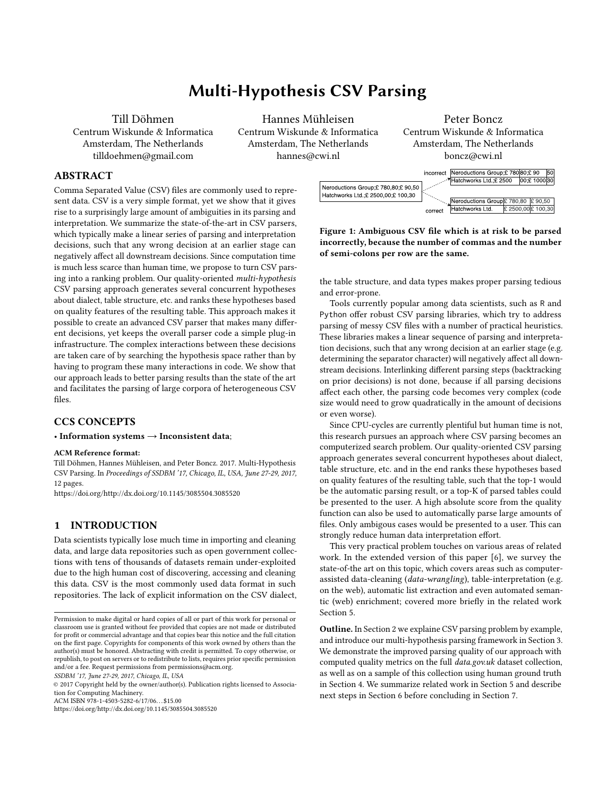(a) Number of matches. (b) Mean distance to cleaned tables.

Figure 8: Comparison of parsing results to ground truth with RFC 4180 conform parser, DeExcelerator, messytables, messytables combined with DeExcelerator, and the Multi-Hypothesis parser hypoparsr.

subsequently appending the column strings to one long string to robustness of the solution. Even though our solution leads on the between the two table strings, which determines the minimum required amount of insertions, deletions and edits to turn one given string into another [14]. In that way we can assess the distance between tables in terms of missing, added and edited content. If systematic errors occur, such as not properly parsed data columns, 4.2 Parsing Success the Levenshtein distance grows with the number of rows and overpenalizes those errors. The able Distance neasure is therefore the counted the distance from an empty string to the ground truth.

Figure 9: String-based table distance measure.

Figure 8a shows the number of matches between the ground truth and the parsing results ofhypoparsr and the compared solutions. None of the parsing results of the RFC 4180 conform parser were in line with the manually cleaned tables. This underlines how error-prone the CSV les are and the necessity for more sophisticated CSV parsing solutions. The highest ranked result of the hypoparsr was in 35 out of 64 les in line with the manually cleaned tables, compared to 13, 25 and 29, when  $u \cdot \mathbf{w} \in \mathbb{R}$  x celerator, messytables or the combination of both, respectively. The previous section showed that the ranking of theypoparsr is not 100% accurate. We thus also searched for matches among all pars-Not only the parsing success but also the amount of recovered ing hypotheses created byypoparsr and not only the highest ranked (HypoAll). Two additional matches could be identi ed in non top-ranked positions, which con rms that the ranking could be optimized in future work.

of the described parsers and the ground truth. The poparsr results are thus not only most often matching with the ground truth but are also in average closer to the ground truth which re ects the

which the header row is prepended (see Figure 9). The distance test set to better results that the state-of-the-art, the results show between two tables is measured based on the Levenshtein distance that there is room for improvement. Manual analysis of highly deviating parsing results showed that especially improving the normalization of complex table structures and a higher variety of row/column function hypotheses could further improve the results.

Log10-scaled Levenshtein distance. For failed parsing attempts we data sources. We therefore evaluated the parsing success of the We speci cally aimed at creating a solution which is suited for unsupervised processing of large corpora of heterogeneous CSV hypoparsr on a test set of 14,844 les from the open government portal, which make up approx. 90% of all CSV les on the portal data.gov.ukin August 2015. This corpus was reduced by only keeping les smaller than 200kB and was super cially cleaned from non-CSV and empty les. On the test set, with 99.55% the parsing success rate ofhypoparsr was the highest of the tested systems. The remaining fraction of not successfully parsed les can furthermore mainly be attributed to non-CSV les which should have been removed from the test set. Table 6 summarizes the parsing success of hypoparsr and the compared systems. The low rate of the RFC 4180 conform parser shows again the poor quality of the CSV les on the data portal.

|                                                                          |  | Parser   R base Messy DeEx Me.DeEx Hypo |                 |
|--------------------------------------------------------------------------|--|-----------------------------------------|-----------------|
| No. Files 11,619 14,762 14,621 14,706<br>% Files 78.27 99.45 98.49 99.07 |  |                                         | 14.777<br>99.55 |

Table 6: Number of successfully parsed les of the Multi-Hypothesis parser, compared to others.

Figure 8b shows the mean table distance between parsing results is disregarded. We used three simple measures, namely non-empty cells is an important indicator for the quality of the parsing results. Recovering a high amount of data from the original les is essential for subsequent integration and analysis processes. It would not be desirable if the parsing succeeds but a large part of the input data cells, cells with column header (Named Cells), and non-string cells (Typed Cells), to evaluate the amount of recovered data from the data.gov.ukcorpus. Figure 10 shows the aggregated amount of cells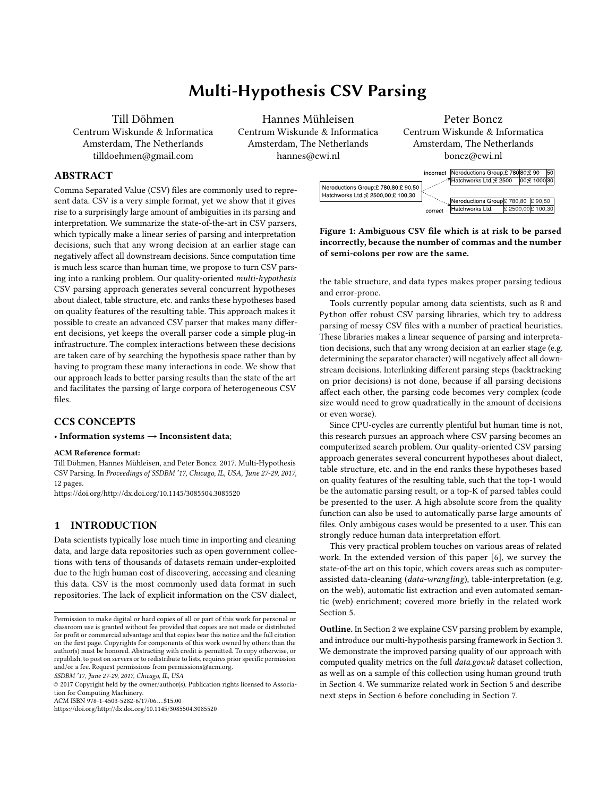which could be recovered from the ata.gov.uk corpus by the respective parsers. It shows that the amount of recovered non-empty cells and names cells of all solutions but trebase implementation are roughly in line. Thehypoparsr recovered slightly fewer non-empty cells thanmessytables which can be attributed to removed meta-data, but the slightly lower amount of names cells indicates that there is room for improvement of header detection. Figure 10c reveals the true strength of the poparsr, which is the column-wise consistency of values and thus the ability to determine column-speci c data types in which it outperforms all other systems we compared with. Since the CSV les are expected to contain tabular data, which typically have consistently typed columns, this is a strong indicator that many tables were correctly extracted from the input data.

Figure 11: CSVLintissues in the data.gov.uk corpus.

less then a half of the original amount of issues. The unresolved issues ofhypoparsr and the combined solution ofmessytables andDeExcelerator have an overlap of approx. 85% of which the majority is related to inconsistent values. Some tables might simply contain columns with inconsistent values, which is not necessarily an issue which can and should be solved by CSV parsers, but rather at the data source. Remaining issues which could be solved by the compared solutions, but not by the uppoparsr, are mostly related to title rows, thus not properly detected column header, which is in line with previous observations. Of 2,936 originatile Rowissues, messytables could solve 2,515 and poparsr 2,114.

(a) Non-Empty Cells (b) Named Header

(c) Typed Cells

Figure 10: Amount of recovered data cells from data.gov.uk corpus with hypoparsr and compared solutions.

Because the amount of tables in the greatly exceeds the amount we can manually assess, we used the CSV validation CGSW Lint to evaluate the quality of the parsing result SSV Lintshowed to be well in line with manual evaluation, with a precision of 91% and accuracy of 78% in terms of les identi ed as a ected by issues, based on the previously used sample fromation ov.uk Figure 11 shows the amount and distribution dCSVLintissues in the original les from data.gov.uk.

By writing back the respective parsing results into a RFC 4180 conform le with UTF-8 encoding, many issues can be automatically resolved, but issues such astle Row Inconsistent Values and Check Option, which is triggered if the parsing result has only one column, will remain regardless. They indicate that either the input le did not contain a proper table or that the table was not properly parsed. Figure 12 shows the amount of issues in the results of the compared parsers. Our solution leads to the lowest amount of remainingCSVLintissues and reduced the number of issues to

Figure 12: CSVLint issues after parsing and writing back to RFC4180-conform CSV.

# 5 RELATED WORK

Data-wrangling or cleaning solutions such as OpenRe<sup>5</sup>n Trifacta Wrangler  $\emptyset$  are well suited for manual cleaning of individual tables and provide functionality for, e.g., merging and splitting of rows and columns, mass renaming of cell content and for reviewing of value distributions, in order to identify spelling mistakes and outlier values. Techniques such asedictive user interactions aim at reducing the manual e ort per table but do not yield full

<sup>5</sup>https://github.com/OpenRene/OpenRene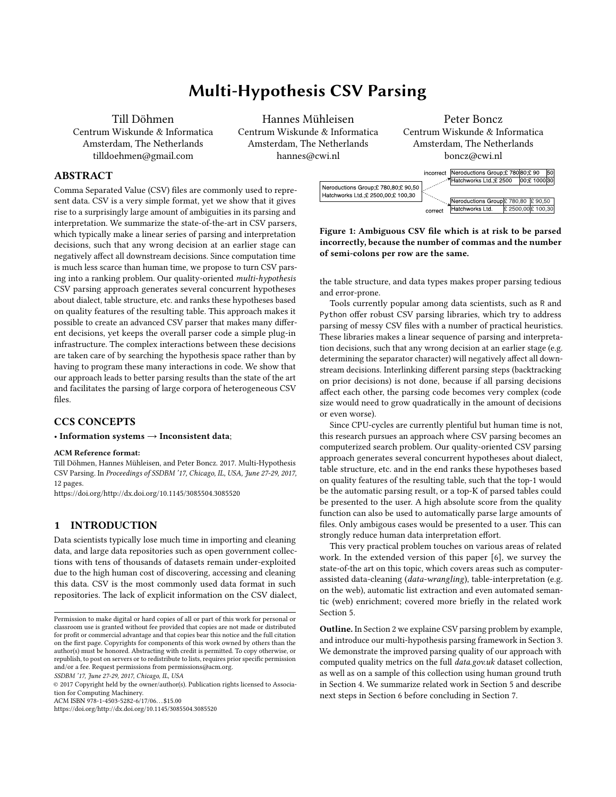automation which makes them unsuited for cleaning of large corpora of heterogeneous tables. Furthermore, the tabular data has to schema for CSV meta-information. The JSON contains information be loaded in the rst place which might, given the variety of CSV dialects and syntax issues, not always succeed.

The discussed issues in CSV les are often related to non-normalized table structures. The problem of table normalization is closely related to table interpretation which lies at the intersection of document analysis, information retrieval and information extraction. However, end-to-end table interpretation solutions, as proposed by Hurst [10] and Pivk et al. [16], have a large margin of uncertainty and make use of background knowledge from the Semantic Web. As shown by Chu et al.4, the performance of an approach using background knowledge signi cantly decreases for non-public data sets such as corporate datasets. For those data sets the syntacticafrom lists. The approach is able to recover tabular data from lists structure of the content is more important, as also shown by Cortez et al. [5]. Seth et al. [9] proposed a reliable approach for table normalization based on sequential circuit analysis, which does not require background knowledge, but only succeeds on tables with unique access path to data cells.

Google's WebTable SI project applied table interpretation techniques at web-scale, on a corpus of 154M tables. WebTables, how-6 ever, disregards not-normalized tables and assumes that every table contains one header row and succeeding data rows. The approach of In practical terms, regarding our poport project, we propose to Adel o and Samet <sup>[1]</sup>, which is based orconditional random elds aims at improving such processes with row-wise classication of table content into categories such as meta-data, header and data. Support for multiple tables, table orientation detection, wide and The approach focuses on HTML and spreadsheets and makes use of<sup>narrow</sup> data detection, and removal of duplicated columns. Existing features like spanning cells and font types which are not available in CSV and furthermore requires a considerable amount of manually annotated training data. Still, these approaches do not achieve human level performance. Table interpretation and normalization at human level performance is still an unsolved problem.

CSV is not often considered as input format for automatic table interpretation tasks, presumably because CSV is already considered tially grows. In future work, di erent pruning methods and the tabular and the issues in CSV parsing and interpretation are often underestimated. ThDeExcelerator proposed by Eberius et al7 was the only practical solution for table normalization we could identify which supports CSV as input format. However, Seth et al. state in a later publication that CSV contains su cient information for their approach to work [15].

Approaches dealing with automated semantic enrichment of tabular data, amongst other open government data, often make use of CSV as input format but appear to ignore the underlying issues (see, e.g., Sharma et  $22$ ). Ermilov et al.  $[8]$  who worked on data from the open government data portalublicdata.eurecognized the necessity for a cleaning process of the CSV input, especially to remove leading and trailing meta-data which was occurred in approximately 20% of their les. However, in the end they reported: In such cases [leading/trailing meta-data], the location of the header is currently not properly determined 8]. The lack of suitable cleaning/normalization solutions for CSV data thus signi cantly reduces the amount of usable data or, if issues are ignored, leads to high noise for any kind of downstream process.

The related work mentioned so far mainly focuses on the data consumer side, because the original data lacks meta-information on its structure and content in the rst place. The W3CSV on the Web

Standard 23 targets exactly this problem and proposes a JSON about the used CSV dialect, the position of the header row, contained entities and their data types. Additional meta-information on  $e$  $d$ SV les would certainly facilitate the parsing of CSV les, but for data which has already been published without meta-information, which holds for the vast majority of data in the ata.gov.uk orpus, it is of no use.

Another type of issues occurring in CSV les are inconsistent use of dialects or syntax errors. In cases of such errors our current solution still relies on the robustness of the underlying CSV parsing libraryreadr [25]. List extraction solutions such as the system TEGRA by Chu et al4] aim at extracting tabular data which contain values that are not or only inconsistently delimited by optimizing the column-wise coherence of values. The approach achieves encouraging results on lists from the Web. In future work, list extraction approaches could potentially be used to recover tabular data from CSV les which are syntactially broken.

# 6 FUTURE WORK

add new plug-ins and extend/improve the existing ones. Based on the observed issues in the ata.gov.uk corpus, we propose to add modules such as the row function and column function detection could be improved by creating better hypotheses, especially for header rows, which were shown to not always be correctly identi ed. Alternatively, more sophisticated row function classication methods, as proposed by Adel o and Samet tould be considered.

The more plug-ins are added the larger the parsing tree potene ect on the result quality should be evaluated. A larger set of parsing hypotheses also calls for more reliable quality assessment. The Ranking SVM performance could be improved by repeating the described training process with a larger set of manually cleaned tables. Alternatively, a set of highest ranked solutions could be presented to the user, letting the user choose the preferred table. In that way, the user input could also be used to train the internal Ranking SVM and improve future rankings according to the users' choice. However, on a large set of les manual validation of results is not feasible. In order to automatically detect and lter out unfavourable tables, an absolute measure of table quality should be established. Since data type consistency is an important quality factor, we propose a better support of di erent data types, such as date-times, geo-coordinates, and ZIP codes etc., as a simple way to improve the ranking accuracy. Furthermore, the measure of consistency could be improved by calculating the numeric consistency on numeric, date and time columns. In order to assess the consistency of text, di erent text features, such as the text length could be taken into account.

With the currenthypoparsr, the user receives a parsing report alongside the resulting table, stating which parsing decisions were made. Such parsing descriptions can currently not be fed back into the parsing process. Using the SV on the Westandard, as formal